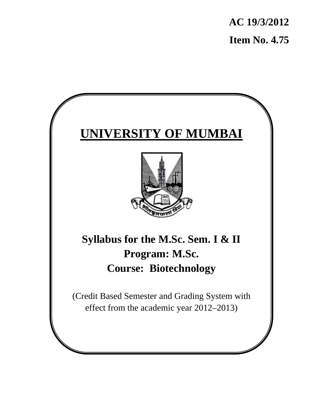**AC 19/3/2012 Item No. 4.75** 

# **UNIVERSITY OF MUMBAI**



**Syllabus for the M.Sc. Sem. I & II Program: M.Sc. Course: Biotechnology**

(Credit Based Semester and Grading System with effect from the academic year 2012–2013)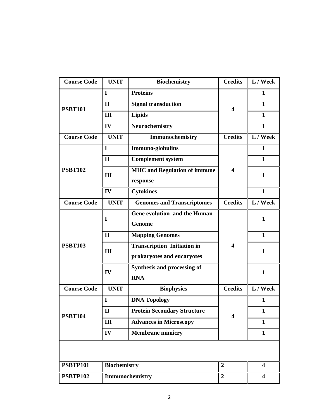| <b>Course Code</b> | <b>UNIT</b>         | <b>Biochemistry</b>                 | <b>Credits</b>          | L / Week                |
|--------------------|---------------------|-------------------------------------|-------------------------|-------------------------|
| <b>PSBT101</b>     | $\mathbf I$         | <b>Proteins</b>                     |                         | 1                       |
|                    | $\mathbf{I}$        | <b>Signal transduction</b>          | $\overline{\mathbf{4}}$ | $\mathbf{1}$            |
|                    | III                 | <b>Lipids</b>                       |                         | 1                       |
|                    | IV                  | Neurochemistry                      |                         | 1                       |
| <b>Course Code</b> | <b>UNIT</b>         | Immunochemistry                     | <b>Credits</b>          | L / Week                |
|                    | 1                   | Immuno-globulins                    |                         | $\mathbf{1}$            |
|                    | $\mathbf{I}$        | <b>Complement system</b>            |                         | $\mathbf{1}$            |
| <b>PSBT102</b>     | III                 | <b>MHC</b> and Regulation of immune | $\overline{\mathbf{4}}$ | $\mathbf{1}$            |
|                    |                     | response                            |                         |                         |
|                    | IV                  | <b>Cytokines</b>                    |                         | 1                       |
| <b>Course Code</b> | <b>UNIT</b>         | <b>Genomes and Transcriptomes</b>   | <b>Credits</b>          | L / Week                |
|                    | $\bf{I}$            | Gene evolution and the Human        |                         | $\mathbf{1}$            |
|                    |                     | <b>Genome</b>                       |                         |                         |
|                    | $\mathbf{I}$        | <b>Mapping Genomes</b>              |                         | $\mathbf{1}$            |
| <b>PSBT103</b>     | III                 | <b>Transcription Initiation in</b>  | $\boldsymbol{4}$        | $\mathbf{1}$            |
|                    |                     | prokaryotes and eucaryotes          |                         |                         |
|                    | IV                  | Synthesis and processing of         |                         | $\mathbf{1}$            |
|                    |                     | <b>RNA</b>                          |                         |                         |
| <b>Course Code</b> | <b>UNIT</b>         | <b>Biophysics</b>                   | <b>Credits</b>          | L / Week                |
|                    | I                   | <b>DNA Topology</b>                 |                         | 1                       |
| <b>PSBT104</b>     | $\mathbf{I}$        | <b>Protein Secondary Structure</b>  | 4                       | $\mathbf{1}$            |
|                    | III                 | <b>Advances in Microscopy</b>       |                         | $\mathbf{1}$            |
|                    | IV                  | <b>Membrane mimicry</b>             |                         | $\mathbf{1}$            |
|                    |                     |                                     |                         |                         |
|                    |                     |                                     |                         |                         |
| <b>PSBTP101</b>    | <b>Biochemistry</b> |                                     | $\boldsymbol{2}$        | $\overline{\mathbf{4}}$ |
| <b>PSBTP102</b>    |                     | Immunochemistry                     | $\boldsymbol{2}$        | $\overline{\mathbf{4}}$ |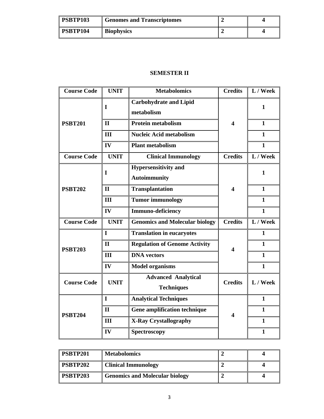| <b>PSBTP103</b> | <b>Genomes and Transcriptomes</b> |  |
|-----------------|-----------------------------------|--|
| <b>PSBTP104</b> | <b>Biophysics</b>                 |  |

# **SEMESTER II**

| <b>Course Code</b> | <b>UNIT</b>  | <b>Metabolomics</b>                                | <b>Credits</b>          | L / Week     |
|--------------------|--------------|----------------------------------------------------|-------------------------|--------------|
|                    | I            | <b>Carbohydrate and Lipid</b><br>metabolism        |                         | 1            |
| <b>PSBT201</b>     | $\mathbf{I}$ | <b>Protein metabolism</b>                          | $\overline{\mathbf{4}}$ | $\mathbf{1}$ |
|                    | III          | <b>Nucleic Acid metabolism</b>                     |                         | $\mathbf{1}$ |
|                    | IV           | <b>Plant metabolism</b>                            |                         | $\mathbf{1}$ |
| <b>Course Code</b> | <b>UNIT</b>  | <b>Clinical Immunology</b>                         | <b>Credits</b>          | L / Week     |
|                    | I            | <b>Hypersensitivity and</b><br><b>Autoimmunity</b> |                         | 1            |
| <b>PSBT202</b>     | $\mathbf{I}$ | <b>Transplantation</b>                             | 4                       | $\mathbf{1}$ |
|                    | III          | <b>Tumor immunology</b>                            |                         | $\mathbf{1}$ |
|                    | IV           | Immuno-deficiency                                  |                         | $\mathbf{1}$ |
| <b>Course Code</b> | <b>UNIT</b>  | <b>Genomics and Molecular biology</b>              | <b>Credits</b>          | L / Week     |
|                    | I            | <b>Translation in eucaryotes</b>                   |                         | $\mathbf{1}$ |
| <b>PSBT203</b>     | $\mathbf{I}$ | <b>Regulation of Genome Activity</b>               | 4                       | $\mathbf{1}$ |
|                    | III          | <b>DNA</b> vectors                                 |                         | $\mathbf{1}$ |
|                    | IV           | <b>Model organisms</b>                             |                         | $\mathbf{1}$ |
| <b>Course Code</b> | <b>UNIT</b>  | <b>Advanced Analytical</b><br><b>Techniques</b>    | <b>Credits</b>          | L / Week     |
| <b>PSBT204</b>     | $\mathbf{I}$ | <b>Analytical Techniques</b>                       |                         | $\mathbf{1}$ |
|                    | $\mathbf{I}$ | <b>Gene amplification technique</b>                | $\overline{\mathbf{4}}$ | $\mathbf{1}$ |
|                    | III          | <b>X-Ray Crystallography</b>                       |                         | $\mathbf{1}$ |
|                    | IV           | Spectroscopy                                       |                         | $\mathbf{1}$ |

| <b>PSBTP201</b> | <b>Metabolomics</b>                   |  |
|-----------------|---------------------------------------|--|
| PSBTP202        | <b>Clinical Immunology</b>            |  |
| PSBTP203        | <b>Genomics and Molecular biology</b> |  |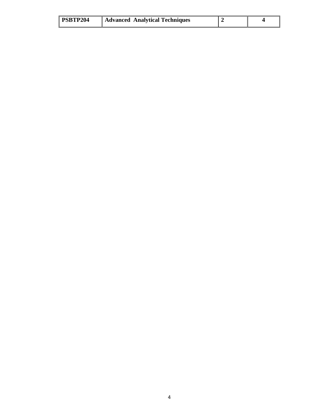| PSBTP204 | <b>Advanced Analytical Techniques</b> |  |  |
|----------|---------------------------------------|--|--|
|----------|---------------------------------------|--|--|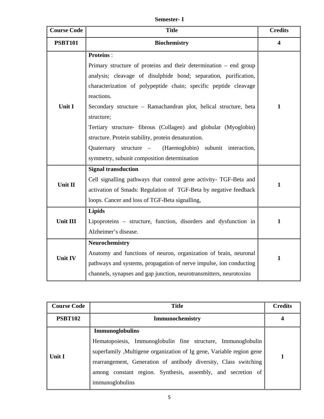**Semester- I** 

| <b>Course Code</b> | <b>Title</b>                                                                                                                         | <b>Credits</b>   |
|--------------------|--------------------------------------------------------------------------------------------------------------------------------------|------------------|
| <b>PSBT101</b>     | <b>Biochemistry</b>                                                                                                                  | $\boldsymbol{4}$ |
|                    | <b>Proteins:</b>                                                                                                                     |                  |
|                    | Primary structure of proteins and their determination $-$ end group                                                                  |                  |
|                    | analysis; cleavage of disulphide bond; separation, purification,<br>characterization of polypeptide chain; specific peptide cleavage |                  |
|                    | reactions.                                                                                                                           |                  |
| Unit I             | Secondary structure - Ramachandran plot, helical structure, beta<br>structure;                                                       | $\mathbf{1}$     |
|                    | Tertiary structure- fibrous (Collagen) and globular (Myoglobin)                                                                      |                  |
|                    | structure. Protein stability, protein denaturation.                                                                                  |                  |
|                    | Quaternary structure –<br>(Haemoglobin) subunit interaction,                                                                         |                  |
|                    | symmetry, subunit composition determination                                                                                          |                  |
|                    | <b>Signal transduction</b>                                                                                                           |                  |
| Unit II            | Cell signalling pathways that control gene activity- TGF-Beta and                                                                    | $\mathbf{1}$     |
|                    | activation of Smads: Regulation of TGF-Beta by negative feedback                                                                     |                  |
|                    | loops. Cancer and loss of TGF-Beta signalling,                                                                                       |                  |
|                    | <b>Lipids</b>                                                                                                                        |                  |
| Unit III           | Lipoproteins - structure, function, disorders and dysfunction in                                                                     | $\mathbf{1}$     |
|                    | Alzheimer's disease.                                                                                                                 |                  |
| <b>Unit IV</b>     | <b>Neurochemistry</b>                                                                                                                |                  |
|                    | Anatomy and functions of neuron, organization of brain, neuronal                                                                     | $\mathbf{1}$     |
|                    | pathways and systems, propagation of nerve impulse, ion conducting                                                                   |                  |
|                    | channels, synapses and gap junction, neurotransmitters, neurotoxins                                                                  |                  |

| <b>Course Code</b> | <b>Title</b>                                                                                                                                                                                                                                                                                                           | <b>Credits</b> |
|--------------------|------------------------------------------------------------------------------------------------------------------------------------------------------------------------------------------------------------------------------------------------------------------------------------------------------------------------|----------------|
| <b>PSBT102</b>     | <b>Immunochemistry</b>                                                                                                                                                                                                                                                                                                 |                |
| Unit I             | <b>Immunoglobulins</b><br>Hematopoiesis, Immunoglobulin fine structure, Immunoglobulin<br>superfamily , Multigene organization of Ig gene, Variable region gene<br>rearrangement, Generation of antibody diversity, Class switching<br>among constant region. Synthesis, assembly, and secretion of<br>immunoglobulins |                |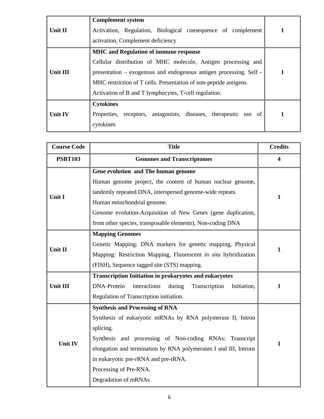| Unit II         | <b>Complement system</b><br>Activation, Regulation, Biological consequence of complement<br>activation, Complement deficiency                                                                                                                                                                                     |  |
|-----------------|-------------------------------------------------------------------------------------------------------------------------------------------------------------------------------------------------------------------------------------------------------------------------------------------------------------------|--|
| <b>Unit III</b> | <b>MHC</b> and Regulation of immune response<br>Cellular distribution of MHC molecule, Antigen processing and<br>presentation – exogenous and endogenous antigen processing. Self -<br>MHC restriction of T cells. Presentation of non-peptide antigens.<br>Activation of B and T lymphocytes, T-cell regulation. |  |
| <b>Unit IV</b>  | <b>Cytokines</b><br>receptors, antagonists, diseases, therapeutic use of<br>Properties,<br>cytokines                                                                                                                                                                                                              |  |

| <b>Course Code</b> | <b>Title</b>                                                                 | <b>Credits</b>          |
|--------------------|------------------------------------------------------------------------------|-------------------------|
| <b>PSBT103</b>     | <b>Genomes and Transcriptomes</b>                                            | $\overline{\mathbf{4}}$ |
|                    | Gene evolution and The human genome                                          |                         |
|                    | Human genome project, the content of human nuclear genome,                   |                         |
| Unit I             | tandemly repeated DNA, interspersed genome-wide repeats.                     | $\mathbf{1}$            |
|                    | Human mitochondrial genome.                                                  |                         |
|                    | Genome evolution-Acquisition of New Genes (gene duplication,                 |                         |
|                    | from other species, transposable elements), Non-coding DNA                   |                         |
|                    | <b>Mapping Genomes</b>                                                       |                         |
| Unit II            | Genetic Mapping: DNA markers for genetic mapping, Physical                   | 1                       |
|                    | Mapping: Restriction Mapping, Fluorescent in situ hybridization              |                         |
|                    | (FISH), Sequence tagged site (STS) mapping.                                  |                         |
|                    | <b>Transcription Initiation in prokaryotes and eukaryotes</b>                |                         |
| Unit III           | <b>DNA-Protein</b><br>interactions<br>Initiation,<br>during<br>Transcription | 1                       |
|                    | Regulation of Transcription initiation.                                      |                         |
|                    | <b>Synthesis and Processing of RNA</b>                                       |                         |
|                    | Synthesis of eukaryotic mRNAs by RNA polymerase II, Intron                   |                         |
|                    | splicing.                                                                    |                         |
| <b>Unit IV</b>     | Synthesis and processing of Non-coding RNAs: Transcript                      | $\mathbf{1}$            |
|                    | elongation and termination by RNA polymerases I and III, Introns             |                         |
|                    | in eukaryotic pre-rRNA and pre-tRNA.                                         |                         |
|                    | Processing of Pre-RNA.                                                       |                         |
|                    | Degradation of mRNAs                                                         |                         |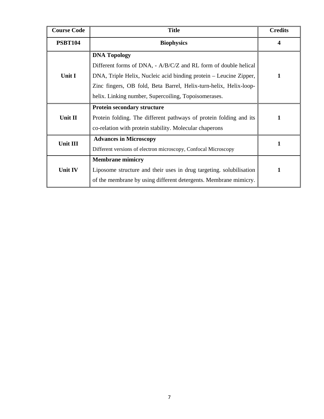| <b>Course Code</b> | <b>Title</b>                                                                                                                                                                                                                                                                             | <b>Credits</b>          |
|--------------------|------------------------------------------------------------------------------------------------------------------------------------------------------------------------------------------------------------------------------------------------------------------------------------------|-------------------------|
| <b>PSBT104</b>     | <b>Biophysics</b>                                                                                                                                                                                                                                                                        | $\overline{\mathbf{4}}$ |
| Unit I             | <b>DNA Topology</b><br>Different forms of DNA, - A/B/C/Z and RL form of double helical<br>DNA, Triple Helix, Nucleic acid binding protein – Leucine Zipper,<br>Zinc fingers, OB fold, Beta Barrel, Helix-turn-helix, Helix-loop-<br>helix. Linking number, Supercoiling, Topoisomerases. | 1                       |
| Unit II            | <b>Protein secondary structure</b><br>Protein folding. The different pathways of protein folding and its<br>co-relation with protein stability. Molecular chaperons                                                                                                                      |                         |
| Unit III           | <b>Advances in Microscopy</b><br>Different versions of electron microscopy, Confocal Microscopy                                                                                                                                                                                          |                         |
| Unit IV            | <b>Membrane mimicry</b><br>Liposome structure and their uses in drug targeting. solubilisation<br>of the membrane by using different detergents. Membrane mimicry.                                                                                                                       |                         |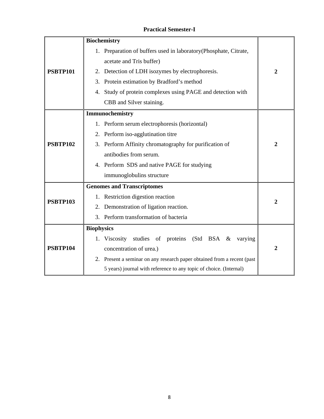# **Practical Semester-I**

|                 | <b>Biochemistry</b>                                                     |                  |  |
|-----------------|-------------------------------------------------------------------------|------------------|--|
|                 | 1. Preparation of buffers used in laboratory (Phosphate, Citrate,       |                  |  |
|                 | acetate and Tris buffer)                                                |                  |  |
| <b>PSBTP101</b> | 2. Detection of LDH isozymes by electrophoresis.                        |                  |  |
|                 | 3. Protein estimation by Bradford's method                              |                  |  |
|                 | 4. Study of protein complexes using PAGE and detection with             |                  |  |
|                 | CBB and Silver staining.                                                |                  |  |
|                 | Immunochemistry                                                         |                  |  |
|                 | 1. Perform serum electrophoresis (horizontal)                           |                  |  |
|                 | 2. Perform iso-agglutination titre                                      |                  |  |
| <b>PSBTP102</b> | 3. Perform Affinity chromatography for purification of                  |                  |  |
|                 | antibodies from serum.                                                  |                  |  |
|                 | 4. Perform SDS and native PAGE for studying                             |                  |  |
|                 | immunoglobulins structure                                               |                  |  |
|                 | <b>Genomes and Transcriptomes</b>                                       |                  |  |
| <b>PSBTP103</b> | 1. Restriction digestion reaction                                       |                  |  |
|                 | Demonstration of ligation reaction.<br>2.                               | $\overline{2}$   |  |
|                 | 3. Perform transformation of bacteria                                   |                  |  |
|                 | <b>Biophysics</b>                                                       |                  |  |
| <b>PSBTP104</b> | 1. Viscosity<br>studies of proteins (Std BSA &<br>varying               |                  |  |
|                 | concentration of urea.)                                                 | $\boldsymbol{2}$ |  |
|                 | 2. Present a seminar on any research paper obtained from a recent (past |                  |  |
|                 | 5 years) journal with reference to any topic of choice. (Internal)      |                  |  |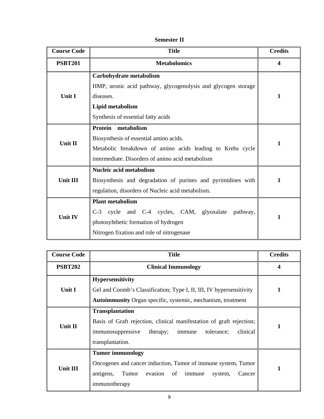| <b>Course Code</b> | <b>Title</b>                                                                                                                                                                     | <b>Credits</b> |
|--------------------|----------------------------------------------------------------------------------------------------------------------------------------------------------------------------------|----------------|
| <b>PSBT201</b>     | <b>Metabolomics</b>                                                                                                                                                              | 4              |
| Unit I             | Carbohydrate metabolism<br>HMP, uronic acid pathway, glycogenolysis and glycogen storage<br>diseases.<br>Lipid metabolism<br>Synthesis of essential fatty acids                  | 1              |
| Unit II            | Protein<br>metabolism<br>Biosynthesis of essential amino acids.<br>Metabolic breakdown of amino acids leading to Krebs cycle<br>intermediate. Disorders of amino acid metabolism | 1              |
| Unit III           | Nucleic acid metabolism<br>Biosynthesis and degradation of purines and pyrimidines with<br>regulation, disorders of Nucleic acid metabolism.                                     | 1              |
| <b>Unit IV</b>     | <b>Plant metabolism</b><br>and C-4 cycles, CAM, glyoxalate pathway,<br>C-3 cycle<br>photosyhthetic formation of hydrogen<br>Nitrogen fixation and role of nitrogenase            | 1              |

| <b>Course Code</b> | <b>Title</b>                                                                                                                                                                            | <b>Credits</b> |
|--------------------|-----------------------------------------------------------------------------------------------------------------------------------------------------------------------------------------|----------------|
| <b>PSBT202</b>     | <b>Clinical Immunology</b>                                                                                                                                                              | 4              |
| Unit I             | <b>Hypersensitivity</b><br>Gel and Coomb's Classification; Type I, II, III, IV hypersensitivity<br><b>Autoimmunity</b> Organ specific, systemic, mechanism, treatment                   |                |
| Unit II            | <b>Transplantation</b><br>Basis of Graft rejection, clinical manifestation of graft rejection;<br>clinical<br>tolerance;<br>immunosuppressive<br>therapy;<br>immune<br>transplantation. |                |
| <b>Unit III</b>    | <b>Tumor immunology</b><br>Oncogenes and cancer induction, Tumor of immune system, Tumor<br>evasion of<br>antigens,<br>immune<br>Tumor<br>Cancer<br>system,<br>immunotherapy            |                |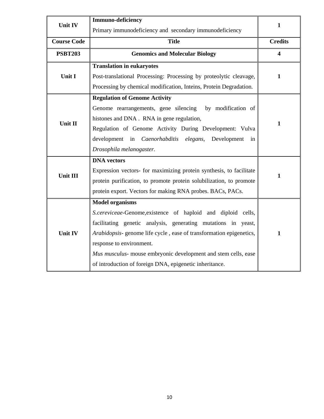| <b>Unit IV</b>     | Immuno-deficiency                                                                                                                                                                                                                                                                                                                                                                      | 1            |
|--------------------|----------------------------------------------------------------------------------------------------------------------------------------------------------------------------------------------------------------------------------------------------------------------------------------------------------------------------------------------------------------------------------------|--------------|
|                    | Primary immunodeficiency and secondary immunodeficiency                                                                                                                                                                                                                                                                                                                                |              |
| <b>Course Code</b> | <b>Title</b>                                                                                                                                                                                                                                                                                                                                                                           |              |
| <b>PSBT203</b>     | <b>Genomics and Molecular Biology</b>                                                                                                                                                                                                                                                                                                                                                  |              |
| <b>Unit I</b>      | <b>Translation in eukaryotes</b><br>Post-translational Processing: Processing by proteolytic cleavage,<br>Processing by chemical modification, Inteins, Protein Degradation.                                                                                                                                                                                                           | 1            |
| Unit II            | <b>Regulation of Genome Activity</b><br>Genome rearrangements, gene silencing<br>by modification of<br>histones and DNA. RNA in gene regulation,<br>Regulation of Genome Activity During Development: Vulva<br>development in Caenorhabditis elegans,<br>Development<br>in<br>Drosophila melanogaster.                                                                                 | 1            |
| <b>Unit III</b>    | <b>DNA</b> vectors<br>Expression vectors- for maximizing protein synthesis, to facilitate<br>protein purification, to promote protein solubilization, to promote<br>protein export. Vectors for making RNA probes. BACs, PACs.                                                                                                                                                         | 1            |
| <b>Unit IV</b>     | <b>Model organisms</b><br>S.cereviceae-Genome, existence of haploid and diploid cells,<br>facilitating genetic analysis, generating mutations in yeast,<br>Arabidopsis-genome life cycle, ease of transformation epigenetics,<br>response to environment.<br>Mus musculus- mouse embryonic development and stem cells, ease<br>of introduction of foreign DNA, epigenetic inheritance. | $\mathbf{1}$ |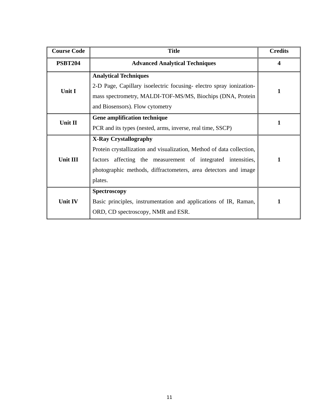| <b>Course Code</b>                                                                                    | <b>Title</b>                                                                                                                                                                                                                                        | <b>Credits</b> |
|-------------------------------------------------------------------------------------------------------|-----------------------------------------------------------------------------------------------------------------------------------------------------------------------------------------------------------------------------------------------------|----------------|
| <b>PSBT204</b>                                                                                        | <b>Advanced Analytical Techniques</b>                                                                                                                                                                                                               | 4              |
| Unit I                                                                                                | <b>Analytical Techniques</b><br>2-D Page, Capillary isoelectric focusing-electro spray ionization-<br>mass spectrometry, MALDI-TOF-MS/MS, Biochips (DNA, Protein<br>and Biosensors). Flow cytometry                                                 | 1              |
| Gene amplification technique<br>Unit II<br>PCR and its types (nested, arms, inverse, real time, SSCP) |                                                                                                                                                                                                                                                     | 1              |
| Unit III                                                                                              | <b>X-Ray Crystallography</b><br>Protein crystallization and visualization, Method of data collection,<br>factors affecting the measurement of integrated intensities,<br>photographic methods, diffractometers, area detectors and image<br>plates. | 1              |
| <b>Unit IV</b>                                                                                        | Spectroscopy<br>Basic principles, instrumentation and applications of IR, Raman,<br>ORD, CD spectroscopy, NMR and ESR.                                                                                                                              | 1              |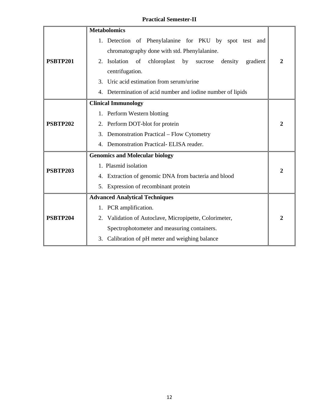# **Practical Semester-II**

|                                       | <b>Metabolomics</b>                                                    |  |  |
|---------------------------------------|------------------------------------------------------------------------|--|--|
|                                       | 1. Detection of Phenylalanine for PKU by spot test and                 |  |  |
|                                       | chromatography done with std. Phenylalanine.                           |  |  |
| <b>PSBTP201</b>                       | 2. Isolation of<br>by<br>chloroplast<br>density<br>sucrose<br>gradient |  |  |
|                                       | centrifugation.                                                        |  |  |
|                                       | 3. Uric acid estimation from serum/urine                               |  |  |
|                                       | Determination of acid number and iodine number of lipids               |  |  |
|                                       | <b>Clinical Immunology</b>                                             |  |  |
|                                       | 1. Perform Western blotting                                            |  |  |
| <b>PSBTP202</b>                       | 2. Perform DOT-blot for protein                                        |  |  |
|                                       | 3. Demonstration Practical – Flow Cytometry                            |  |  |
|                                       | Demonstration Practical- ELISA reader.<br>$\mathbf{4}$ .               |  |  |
| <b>Genomics and Molecular biology</b> |                                                                        |  |  |
| <b>PSBTP203</b>                       | 1. Plasmid isolation                                                   |  |  |
|                                       | 4. Extraction of genomic DNA from bacteria and blood                   |  |  |
|                                       | 5. Expression of recombinant protein                                   |  |  |
|                                       | <b>Advanced Analytical Techniques</b>                                  |  |  |
|                                       | 1. PCR amplification.                                                  |  |  |
| <b>PSBTP204</b>                       | 2. Validation of Autoclave, Micropipette, Colorimeter,                 |  |  |
|                                       | Spectrophotometer and measuring containers.                            |  |  |
|                                       | Calibration of pH meter and weighing balance<br>3.                     |  |  |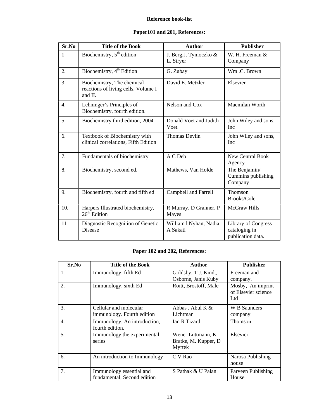#### **Reference book-list**

### **Paper101 and 201, References:**

| Sr.No          | <b>Title of the Book</b>                                                     | <b>Author</b>                       | <b>Publisher</b>                                                 |
|----------------|------------------------------------------------------------------------------|-------------------------------------|------------------------------------------------------------------|
| $\mathbf{1}$   | Biochemistry, $5th$ edition                                                  | J. Berg, J. Tymoczko &<br>L. Stryer | W. H. Freeman &<br>Company                                       |
| 2.             | Biochemistry, 4 <sup>th</sup> Edition                                        | G. Zubay                            | Wm.C. Brown                                                      |
| $\overline{3}$ | Biochemistry, The chemical<br>reactions of living cells, Volume I<br>and II. | David E. Metzler                    | Elsevier                                                         |
| 4.             | Lehninger's Principles of<br>Biochemistry, fourth edition.                   | Nelson and Cox                      | Macmilan Worth                                                   |
| 5.             | Biochemistry third edition, 2004                                             | Donald Voet and Judith<br>Voet.     | John Wiley and sons,<br><b>Inc</b>                               |
| б.             | Textbook of Biochemistry with<br>clinical correlations, Fifth Edition        | <b>Thomas Devlin</b>                | John Wiley and sons,<br><b>Inc</b>                               |
| 7.             | Fundamentals of biochemistry                                                 | A C Deb                             | <b>New Central Book</b><br>Agency                                |
| 8.             | Biochemistry, second ed.                                                     | Mathews, Van Holde                  | The Benjamin/<br>Cummins publishing<br>Company                   |
| 9.             | Biochemistry, fourth and fifth ed                                            | <b>Campbell and Farrell</b>         | Thomson<br>Brooks/Cole                                           |
| 10.            | Harpers Illustrated biochemistry,<br>$26th$ Edition                          | R Murray, D Granner, P<br>Mayes     | <b>McGraw Hills</b>                                              |
| 11             | Diagnostic Recognition of Genetic<br><b>Disease</b>                          | William 1 Nyhan, Nadia<br>A Sakati  | <b>Library of Congress</b><br>cataloging in<br>publication data. |

## **Paper 102 and 202, References:**

| Sr.No | <b>Title of the Book</b>                                | <b>Author</b>                                        | <b>Publisher</b>                                |
|-------|---------------------------------------------------------|------------------------------------------------------|-------------------------------------------------|
| 1.    | Immunology, fifth Ed                                    | Goldsby, T J. Kindt,<br>Osborne, Janis Kuby          | Freeman and<br>company.                         |
| 2.    | Immunology, sixth Ed                                    | Roitt, Brostoff, Male                                | Mosby, An imprint<br>of Elsevier science<br>Ltd |
| 3.    | Cellular and molecular<br>immunology. Fourth edition    | Abbas, Abul K &<br>Lichtman                          | W B Saunders<br>company                         |
| 4.    | Immunology, An introduction,<br>fourth edition.         | <b>Ian R Tizard</b>                                  | Thomson                                         |
| 5.    | Immunology the experimental<br>series                   | Wener Luttmann, K<br>Bratke, M. Kupper, D.<br>Myrtek | Elsevier                                        |
| 6.    | An introduction to Immunology                           | C V Rao                                              | Narosa Publishing<br>house                      |
| 7.    | Immunology essential and<br>fundamental, Second edition | S Pathak & U Palan                                   | Parveen Publishing<br>House                     |